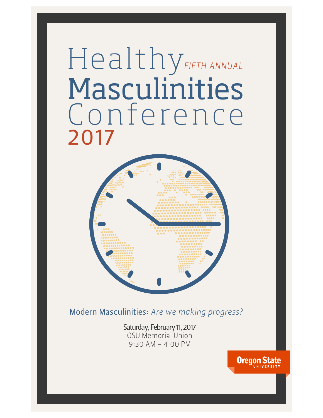# Healthy *FIFTH ANNUAL* Masculinities Conference 2017



Modern Masculinities: *Are we making progress?*

Saturday, February 11, 2017 OSU Memorial Union 9:30 AM – 4:00 PM

**Oregon State**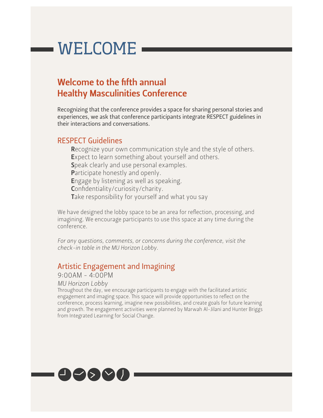### WELCOME

### Welcome to the fifth annual Healthy Masculinities Conference

Recognizing that the conference provides a space for sharing personal stories and experiences, we ask that conference participants integrate RESPECT guidelines in their interactions and conversations.

#### RESPECT Guidelines

Recognize your own communication style and the style of others. Expect to learn something about yourself and others. Speak clearly and use personal examples. Participate honestly and openly. Engage by listening as well as speaking. Confidentiality/curiosity/charity. Take responsibility for yourself and what you say

We have designed the lobby space to be an area for reflection, processing, and imagining. We encourage participants to use this space at any time during the conference.

For any questions, comments, or concerns during the conference, visit the *check-in table in the MU Horizon Lobby.*

### Artistic Engagement and Imagining

9:00AM - 4:00PM

*MU Horizon Lobby*

Throughout the day, we encourage participants to engage with the facilitated artistic engagement and imaging space. This space will provide opportunities to reflect on the conference, process learning, imagine new possibilities, and create goals for future learning and growth. The engagement activities were planned by Marwah Al-Jilani and Hunter Briggs from Integrated Learning for Social Change.

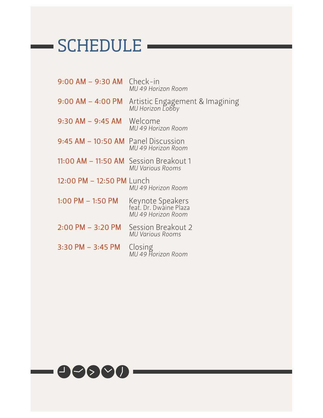### -SCHEDULE -

| $9:00$ AM $-$ 9:30 AM Check-in         | MU 49 Horizon Room                                                    |
|----------------------------------------|-----------------------------------------------------------------------|
|                                        | 9:00 AM - 4:00 PM Artistic Engagement & Imagining<br>MU Horizon Lobby |
| $9:30$ AM $-$ 9:45 AM Welcome          | MU 49 Horizon Room                                                    |
| 9:45 AM - 10:50 AM Panel Discussion    | MU 49 Horizon Room                                                    |
| 11:00 AM - 11:50 AM Session Breakout 1 | MU Various Rooms                                                      |
| 12:00 PM - 12:50 PM Lunch              | MU 49 Horizon Room                                                    |
| $1:00$ PM $-1:50$ PM                   | Keynote Speakers<br>feat. Dr. Dwaine Plaza<br>MU 49 Horizon Room      |
| $2:00 \text{ PM} - 3:20 \text{ PM}$    | Session Breakout 2<br><b>MU Various Rooms</b>                         |
| 3:30 PM – 3:45 PM                      | Closing<br>MU 49 Horizon Room                                         |
|                                        |                                                                       |

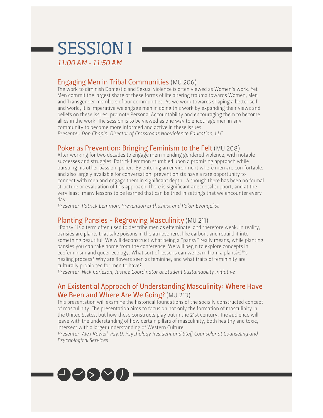## SESSION I

*11:00 AM – 11:50 AM*

### Engaging Men in Tribal Communities (MU 206)

The work to diminish Domestic and Sexual violence is often viewed as Women's work. Yet Men commit the largest share of these forms of life altering trauma towards Women, Men and Transgender members of our communities. As we work towards shaping a better self and world, it is imperative we engage men in doing this work by expanding their views and beliefs on these issues, promote Personal Accountability and encouraging them to become allies in the work. The session is to be viewed as one way to encourage men in any community to become more informed and active in these issues. *Presenter: Don Chapin, Director of Crossroads Nonviolence Education, LLC*

### Poker as Prevention: Bringing Feminism to the Felt (MU 208)

After working for two decades to engage men in ending gendered violence, with notable successes and struggles, Patrick Lemmon stumbled upon a promising approach while pursuing his other passion: poker. By entering an environment where men are comfortable, and also largely available for conversation, preventionists have a rare opportunity to connect with men and engage them in significant depth. Although there has been no formal structure or evaluation of this approach, there is significant anecdotal support, and at the very least, many lessons to be learned that can be tried in settings that we encounter every day.

*Presenter: Patrick Lemmon, Prevention Enthusiast and Poker Evangelist*

### Planting Pansies - Regrowing Masculinity (MU 211)

"Pansy" is a term often used to describe men as effeminate, and therefore weak. In reality, pansies are plants that take poisons in the atmosphere, like carbon, and rebuild it into something beautiful. We will deconstruct what being a "pansy" really means, while planting pansies you can take home from the conference. We will begin to explore concepts in ecofeminism and queer ecology. What sort of lessons can we learn from a plant's healing process? Why are flowers seen as feminine, and what traits of femininity are culturally prohibited for men to have?

*Presenter: Nick Carleson, Justice Coordinator at Student Sustainability Initiative*

### An Existential Approach of Understanding Masculinity: Where Have We Been and Where Are We Going? (MU 213)

Tis presentation will examine the historical foundations of the socially constructed concept of masculinity. The presentation aims to focus on not only the formation of masculinity in the United States, but how these constructs play out in the 21st century. The audience will leave with the understanding of how certain pillars of masculinity, both healthy and toxic, intersect with a larger understanding of Western Culture.

*Presenter: Alex Rowell, Psy.D, Psychology Resident and Staff Counselor at Counseling and Psychological Services*

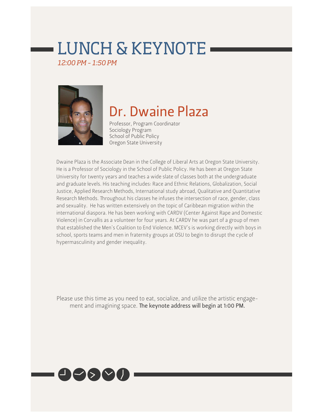### LUNCH & KEYNOTE

*12:00 PM – 1:50 PM*



### Dr. Dwaine Plaza

Professor, Program Coordinator Sociology Program School of Public Policy Oregon State University

Dwaine Plaza is the Associate Dean in the College of Liberal Arts at Oregon State University. He is a Professor of Sociology in the School of Public Policy. He has been at Oregon State University for twenty years and teaches a wide slate of classes both at the undergraduate and graduate levels. His teaching includes: Race and Ethnic Relations, Globalization, Social Justice, Applied Research Methods, International study abroad, Qualitative and Quantitative Research Methods. Troughout his classes he infuses the intersection of race, gender, class and sexuality. He has written extensively on the topic of Caribbean migration within the international diaspora. He has been working with CARDV (Center Against Rape and Domestic Violence) in Corvallis as a volunteer for four years. At CARDV he was part of a group of men that established the Men's Coalition to End Violence. MCEV's is working directly with boys in school, sports teams and men in fraternity groups at OSU to begin to disrupt the cycle of hypermasculinity and gender inequality.

Please use this time as you need to eat, socialize, and utilize the artistic engagement and imagining space. The keynote address will begin at 1:00 PM.

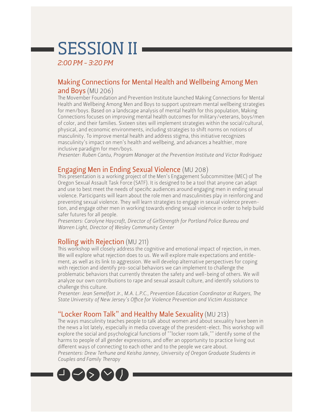### SESSION II

*2:00 PM – 3:20 PM*

### Making Connections for Mental Health and Wellbeing Among Men and Boys (MU 206)

The Movember Foundation and Prevention Institute launched Making Connections for Mental Health and Wellbeing Among Men and Boys to support upstream mental wellbeing strategies for men/boys. Based on a landscape analysis of mental health for this population, Making Connections focuses on improving mental health outcomes for military/veterans, boys/men of color, and their families. Sixteen sites will implement strategies within the social/cultural, physical, and economic environments, including strategies to shift norms on notions of masculinity. To improve mental health and address stigma, this initiative recognizes masculinity's impact on men's health and wellbeing, and advances a healthier, more inclusive paradigm for men/boys.

*Presenter: Ruben Cantu, Program Manager at the Prevention Institute and Victor Rodriguez*

### Engaging Men in Ending Sexual Violence (MU 208)

This presentation is a working project of the Men's Engagement Subcommittee (MEC) of The Oregon Sexual Assault Task Force (SATF). It is designed to be a tool that anyone can adapt and use to best meet the needs of specific audiences around engaging men in ending sexual violence. Participants will learn about the role men and masculinities play in reinforcing and preventing sexual violence. They will learn strategies to engage in sexual violence prevention, and engage other men in working towards ending sexual violence in order to help build safer futures for all people.

*Presenters: Carolyne Haycraft, Director of GirlStrength for Portland Police Bureau and Warren Light, Director of Wesley Community Center*

### Rolling with Rejection (MU 211)

This workshop will closely address the cognitive and emotional impact of rejection, in men. We will explore what rejection does to us. We will explore male expectations and entitlement, as well as its link to aggression. We will develop alternative perspectives for coping with rejection and identify pro-social behaviors we can implement to challenge the problematic behaviors that currently threaten the safety and well-being of others. We will analyze our own contributions to rape and sexual assault culture, and identify solutions to challenge this culture.

*Presenter: Jean Semelfort Jr., M.A. L.P.C., Prevention Education Coordinator at Rutgers, Te State University of New Jersey's Office for Violence Prevention and Victim Assistance*

### "Locker Room Talk" and Healthy Male Sexuality (MU 213)

The ways masculinity teaches people to talk about women and about sexuality have been in the news a lot lately, especially in media coverage of the president-elect. This workshop will explore the social and psychological functions of ""locker room talk,"" identify some of the harms to people of all gender expressions, and offer an opportunity to practice living out different ways of connecting to each other and to the people we care about. *Presenters: Drew Terhune and Keisha Janney, University of Oregon Graduate Students in Couples and Family Therapy*